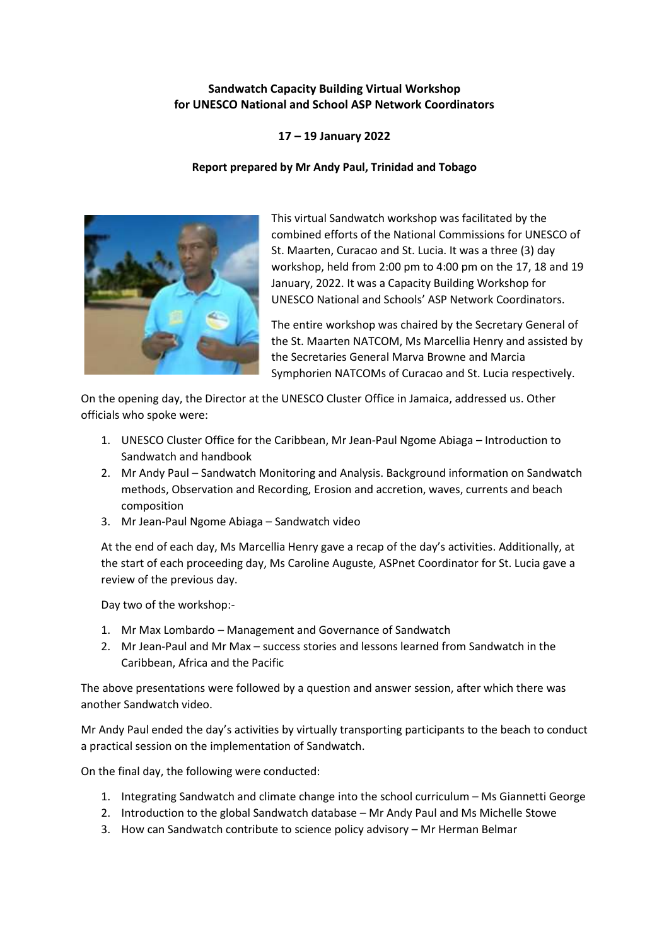## **Sandwatch Capacity Building Virtual Workshop for UNESCO National and School ASP Network Coordinators**

## **17 – 19 January 2022**

## **Report prepared by Mr Andy Paul, Trinidad and Tobago**



This virtual Sandwatch workshop was facilitated by the combined efforts of the National Commissions for UNESCO of St. Maarten, Curacao and St. Lucia. It was a three (3) day workshop, held from 2:00 pm to 4:00 pm on the 17, 18 and 19 January, 2022. It was a Capacity Building Workshop for UNESCO National and Schools' ASP Network Coordinators.

The entire workshop was chaired by the Secretary General of the St. Maarten NATCOM, Ms Marcellia Henry and assisted by the Secretaries General Marva Browne and Marcia Symphorien NATCOMs of Curacao and St. Lucia respectively.

On the opening day, the Director at the UNESCO Cluster Office in Jamaica, addressed us. Other officials who spoke were:

- 1. UNESCO Cluster Office for the Caribbean, Mr Jean-Paul Ngome Abiaga Introduction to Sandwatch and handbook
- 2. Mr Andy Paul Sandwatch Monitoring and Analysis. Background information on Sandwatch methods, Observation and Recording, Erosion and accretion, waves, currents and beach composition
- 3. Mr Jean-Paul Ngome Abiaga Sandwatch video

At the end of each day, Ms Marcellia Henry gave a recap of the day's activities. Additionally, at the start of each proceeding day, Ms Caroline Auguste, ASPnet Coordinator for St. Lucia gave a review of the previous day.

Day two of the workshop:-

- 1. Mr Max Lombardo Management and Governance of Sandwatch
- 2. Mr Jean-Paul and Mr Max success stories and lessons learned from Sandwatch in the Caribbean, Africa and the Pacific

The above presentations were followed by a question and answer session, after which there was another Sandwatch video.

Mr Andy Paul ended the day's activities by virtually transporting participants to the beach to conduct a practical session on the implementation of Sandwatch.

On the final day, the following were conducted:

- 1. Integrating Sandwatch and climate change into the school curriculum Ms Giannetti George
- 2. Introduction to the global Sandwatch database Mr Andy Paul and Ms Michelle Stowe
- 3. How can Sandwatch contribute to science policy advisory Mr Herman Belmar